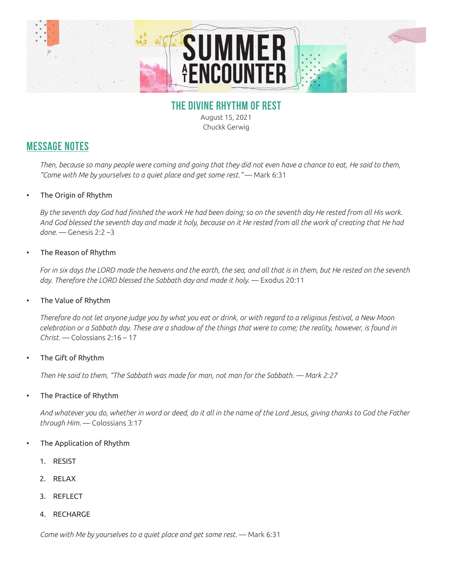

## **THE DIVINE RHYTHM OF REST**

August 15, 2021 Chuckk Gerwig

# **MESSAGE NOTES**

*Then, because so many people were coming and going that they did not even have a chance to eat, He said to them, "Come with Me by yourselves to a quiet place and get some rest."* — Mark 6:31

### • The Origin of Rhythm

*By the seventh day God had finished the work He had been doing; so on the seventh day He rested from all His work. And God blessed the seventh day and made it holy, because on it He rested from all the work of creating that He had done.* — Genesis 2:2 –3

### • The Reason of Rhythm

*For in six days the LORD made the heavens and the earth, the sea, and all that is in them, but He rested on the seventh*  day. Therefore the LORD blessed the Sabbath day and made it holy. - Exodus 20:11

### • The Value of Rhythm

*Therefore do not let anyone judge you by what you eat or drink, or with regard to a religious festival, a New Moon celebration or a Sabbath day. These are a shadow of the things that were to come; the reality, however, is found in Christ.* — Colossians 2:16 – 17

The Gift of Rhythm

*Then He said to them, "The Sabbath was made for man, not man for the Sabbath. — Mark 2:27*

• The Practice of Rhythm

*And whatever you do, whether in word or deed, do it all in the name of the Lord Jesus, giving thanks to God the Father through Him.* — Colossians 3:17

#### • The Application of Rhythm

- 1. RESIST
- 2. RELAX
- 3. REFLECT
- 4. RECHARGE

*Come with Me by yourselves to a quiet place and get some rest.* — Mark 6:31